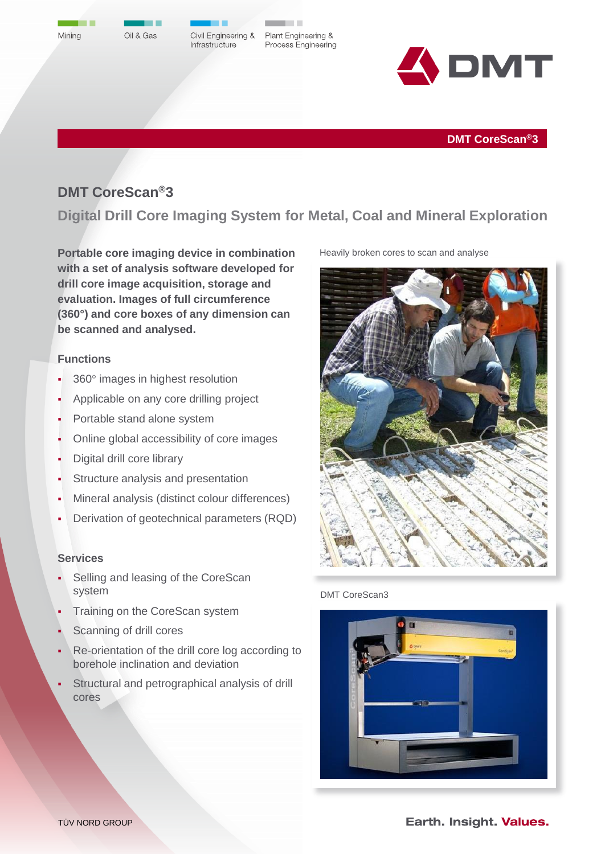



**The Company** 

Civil Engineering & Infrastructure

Plant Engineering & Process Engineering

. .



**DMT CoreScan®3**

# **DMT CoreScan®3**

**Digital Drill Core Imaging System for Metal, Coal and Mineral Exploration**

**Portable core imaging device in combination with a set of analysis software developed for drill core image acquisition, storage and evaluation. Images of full circumference (360°) and core boxes of any dimension can be scanned and analysed.**

## **Functions**

- 360° images in highest resolution
- Applicable on any core drilling project
- Portable stand alone system
- Online global accessibility of core images
- Digital drill core library
- Structure analysis and presentation
- Mineral analysis (distinct colour differences)
- Derivation of geotechnical parameters (RQD)

#### **Services**

- Selling and leasing of the CoreScan system
- Training on the CoreScan system
- Scanning of drill cores
- Re-orientation of the drill core log according to borehole inclination and deviation
- Structural and petrographical analysis of drill cores





DMT CoreScan3



Earth. Insight. Values.